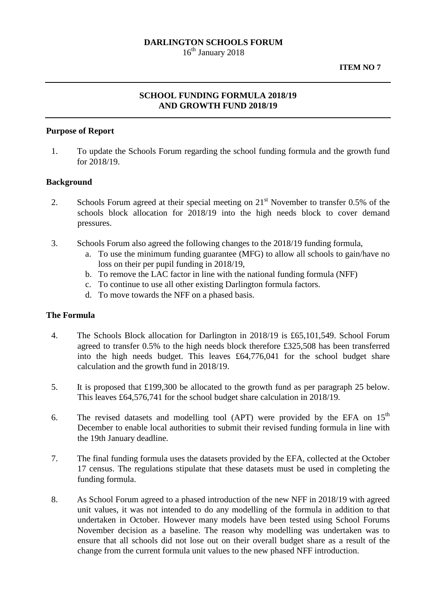## **DARLINGTON SCHOOLS FORUM**

16<sup>th</sup> January 2018

#### **ITEM NO 7**

# **SCHOOL FUNDING FORMULA 2018/19 AND GROWTH FUND 2018/19**

### **Purpose of Report**

1. To update the Schools Forum regarding the school funding formula and the growth fund for 2018/19.

### **Background**

- 2. Schools Forum agreed at their special meeting on  $21<sup>st</sup>$  November to transfer 0.5% of the schools block allocation for 2018/19 into the high needs block to cover demand pressures.
- 3. Schools Forum also agreed the following changes to the 2018/19 funding formula,
	- a. To use the minimum funding guarantee (MFG) to allow all schools to gain/have no loss on their per pupil funding in 2018/19,
	- b. To remove the LAC factor in line with the national funding formula (NFF)
	- c. To continue to use all other existing Darlington formula factors.
	- d. To move towards the NFF on a phased basis.

### **The Formula**

- 4. The Schools Block allocation for Darlington in 2018/19 is £65,101,549. School Forum agreed to transfer 0.5% to the high needs block therefore £325,508 has been transferred into the high needs budget. This leaves £64,776,041 for the school budget share calculation and the growth fund in 2018/19.
- 5. It is proposed that £199,300 be allocated to the growth fund as per paragraph 25 below. This leaves £64,576,741 for the school budget share calculation in 2018/19.
- 6. The revised datasets and modelling tool (APT) were provided by the EFA on  $15<sup>th</sup>$ December to enable local authorities to submit their revised funding formula in line with the 19th January deadline.
- 7. The final funding formula uses the datasets provided by the EFA, collected at the October 17 census. The regulations stipulate that these datasets must be used in completing the funding formula.
- 8. As School Forum agreed to a phased introduction of the new NFF in 2018/19 with agreed unit values, it was not intended to do any modelling of the formula in addition to that undertaken in October. However many models have been tested using School Forums November decision as a baseline. The reason why modelling was undertaken was to ensure that all schools did not lose out on their overall budget share as a result of the change from the current formula unit values to the new phased NFF introduction.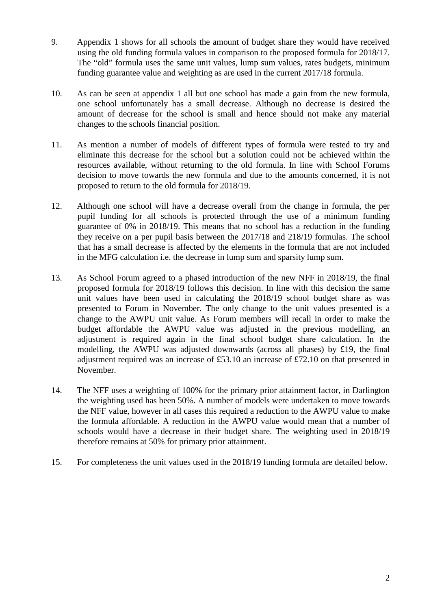- 9. Appendix 1 shows for all schools the amount of budget share they would have received using the old funding formula values in comparison to the proposed formula for 2018/17. The "old" formula uses the same unit values, lump sum values, rates budgets, minimum funding guarantee value and weighting as are used in the current 2017/18 formula.
- 10. As can be seen at appendix 1 all but one school has made a gain from the new formula, one school unfortunately has a small decrease. Although no decrease is desired the amount of decrease for the school is small and hence should not make any material changes to the schools financial position.
- 11. As mention a number of models of different types of formula were tested to try and eliminate this decrease for the school but a solution could not be achieved within the resources available, without returning to the old formula. In line with School Forums decision to move towards the new formula and due to the amounts concerned, it is not proposed to return to the old formula for 2018/19.
- 12. Although one school will have a decrease overall from the change in formula, the per pupil funding for all schools is protected through the use of a minimum funding guarantee of 0% in 2018/19. This means that no school has a reduction in the funding they receive on a per pupil basis between the 2017/18 and 218/19 formulas. The school that has a small decrease is affected by the elements in the formula that are not included in the MFG calculation i.e. the decrease in lump sum and sparsity lump sum.
- 13. As School Forum agreed to a phased introduction of the new NFF in 2018/19, the final proposed formula for 2018/19 follows this decision. In line with this decision the same unit values have been used in calculating the 2018/19 school budget share as was presented to Forum in November. The only change to the unit values presented is a change to the AWPU unit value. As Forum members will recall in order to make the budget affordable the AWPU value was adjusted in the previous modelling, an adjustment is required again in the final school budget share calculation. In the modelling, the AWPU was adjusted downwards (across all phases) by £19, the final adjustment required was an increase of £53.10 an increase of £72.10 on that presented in November.
- 14. The NFF uses a weighting of 100% for the primary prior attainment factor, in Darlington the weighting used has been 50%. A number of models were undertaken to move towards the NFF value, however in all cases this required a reduction to the AWPU value to make the formula affordable. A reduction in the AWPU value would mean that a number of schools would have a decrease in their budget share. The weighting used in 2018/19 therefore remains at 50% for primary prior attainment.
- 15. For completeness the unit values used in the 2018/19 funding formula are detailed below.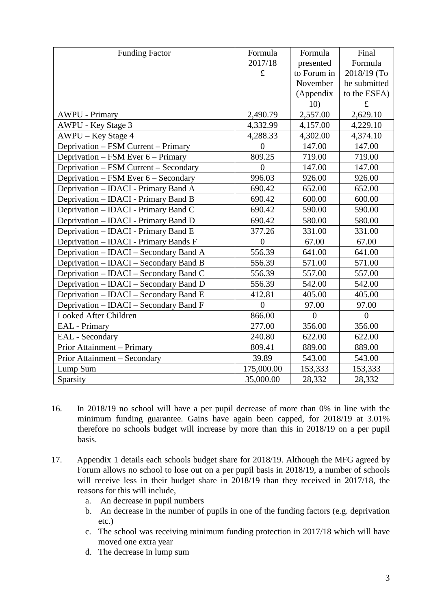| <b>Funding Factor</b>                  | Formula        | Formula     | Final        |
|----------------------------------------|----------------|-------------|--------------|
|                                        | 2017/18        | presented   | Formula      |
|                                        | $\pounds$      | to Forum in | 2018/19 (To  |
|                                        |                | November    | be submitted |
|                                        |                | (Appendix   | to the ESFA) |
|                                        |                | 10)         | $\pounds$    |
| <b>AWPU - Primary</b>                  | 2,490.79       | 2,557.00    | 2,629.10     |
| AWPU - Key Stage 3                     | 4,332.99       | 4,157.00    | 4,229.10     |
| AWPU – Key Stage 4                     | 4,288.33       | 4,302.00    | 4,374.10     |
| Deprivation – FSM Current – Primary    | $\overline{0}$ | 147.00      | 147.00       |
| Deprivation – FSM Ever 6 – Primary     | 809.25         | 719.00      | 719.00       |
| Deprivation - FSM Current - Secondary  | $\theta$       | 147.00      | 147.00       |
| Deprivation – FSM Ever 6 – Secondary   | 996.03         | 926.00      | 926.00       |
| Deprivation - IDACI - Primary Band A   | 690.42         | 652.00      | 652.00       |
| Deprivation – IDACI - Primary Band B   | 690.42         | 600.00      | 600.00       |
| Deprivation - IDACI - Primary Band C   | 690.42         | 590.00      | 590.00       |
| Deprivation – IDACI - Primary Band D   | 690.42         | 580.00      | 580.00       |
| Deprivation - IDACI - Primary Band E   | 377.26         | 331.00      | 331.00       |
| Deprivation – IDACI - Primary Bands F  | $\overline{0}$ | 67.00       | 67.00        |
| Deprivation – IDACI – Secondary Band A | 556.39         | 641.00      | 641.00       |
| Deprivation - IDACI - Secondary Band B | 556.39         | 571.00      | 571.00       |
| Deprivation – IDACI – Secondary Band C | 556.39         | 557.00      | 557.00       |
| Deprivation - IDACI - Secondary Band D | 556.39         | 542.00      | 542.00       |
| Deprivation - IDACI - Secondary Band E | 412.81         | 405.00      | 405.00       |
| Deprivation - IDACI - Secondary Band F | $\overline{0}$ | 97.00       | 97.00        |
| Looked After Children                  | 866.00         | $\theta$    | $\theta$     |
| <b>EAL</b> - Primary                   | 277.00         | 356.00      | 356.00       |
| EAL - Secondary                        | 240.80         | 622.00      | 622.00       |
| Prior Attainment – Primary             | 809.41         | 889.00      | 889.00       |
| Prior Attainment - Secondary           | 39.89          | 543.00      | 543.00       |
| Lump Sum                               | 175,000.00     | 153,333     | 153,333      |
| Sparsity                               | 35,000.00      | 28,332      | 28,332       |

- 16. In 2018/19 no school will have a per pupil decrease of more than 0% in line with the minimum funding guarantee. Gains have again been capped, for 2018/19 at 3.01% therefore no schools budget will increase by more than this in 2018/19 on a per pupil basis.
- 17. Appendix 1 details each schools budget share for 2018/19. Although the MFG agreed by Forum allows no school to lose out on a per pupil basis in 2018/19, a number of schools will receive less in their budget share in 2018/19 than they received in 2017/18, the reasons for this will include,
	- a. An decrease in pupil numbers
	- b. An decrease in the number of pupils in one of the funding factors (e.g. deprivation etc.)
	- c. The school was receiving minimum funding protection in 2017/18 which will have moved one extra year
	- d. The decrease in lump sum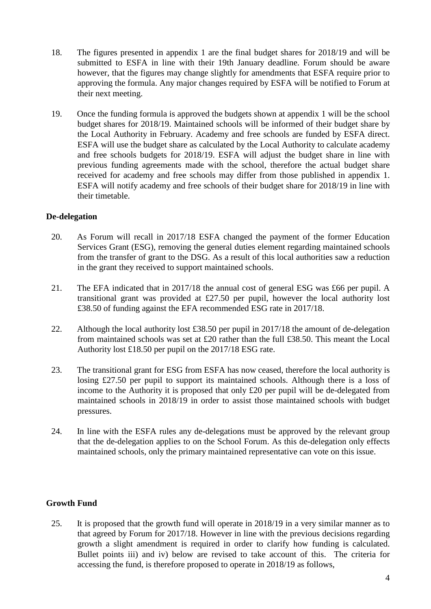- 18. The figures presented in appendix 1 are the final budget shares for 2018/19 and will be submitted to ESFA in line with their 19th January deadline. Forum should be aware however, that the figures may change slightly for amendments that ESFA require prior to approving the formula. Any major changes required by ESFA will be notified to Forum at their next meeting.
- 19. Once the funding formula is approved the budgets shown at appendix 1 will be the school budget shares for 2018/19. Maintained schools will be informed of their budget share by the Local Authority in February. Academy and free schools are funded by ESFA direct. ESFA will use the budget share as calculated by the Local Authority to calculate academy and free schools budgets for 2018/19. ESFA will adjust the budget share in line with previous funding agreements made with the school, therefore the actual budget share received for academy and free schools may differ from those published in appendix 1. ESFA will notify academy and free schools of their budget share for 2018/19 in line with their timetable.

# **De-delegation**

- 20. As Forum will recall in 2017/18 ESFA changed the payment of the former Education Services Grant (ESG), removing the general duties element regarding maintained schools from the transfer of grant to the DSG. As a result of this local authorities saw a reduction in the grant they received to support maintained schools.
- 21. The EFA indicated that in 2017/18 the annual cost of general ESG was £66 per pupil. A transitional grant was provided at £27.50 per pupil, however the local authority lost £38.50 of funding against the EFA recommended ESG rate in 2017/18.
- 22. Although the local authority lost £38.50 per pupil in 2017/18 the amount of de-delegation from maintained schools was set at £20 rather than the full £38.50. This meant the Local Authority lost £18.50 per pupil on the 2017/18 ESG rate.
- 23. The transitional grant for ESG from ESFA has now ceased, therefore the local authority is losing £27.50 per pupil to support its maintained schools. Although there is a loss of income to the Authority it is proposed that only £20 per pupil will be de-delegated from maintained schools in 2018/19 in order to assist those maintained schools with budget pressures.
- 24. In line with the ESFA rules any de-delegations must be approved by the relevant group that the de-delegation applies to on the School Forum. As this de-delegation only effects maintained schools, only the primary maintained representative can vote on this issue.

# **Growth Fund**

25. It is proposed that the growth fund will operate in 2018/19 in a very similar manner as to that agreed by Forum for 2017/18. However in line with the previous decisions regarding growth a slight amendment is required in order to clarify how funding is calculated. Bullet points iii) and iv) below are revised to take account of this. The criteria for accessing the fund, is therefore proposed to operate in 2018/19 as follows,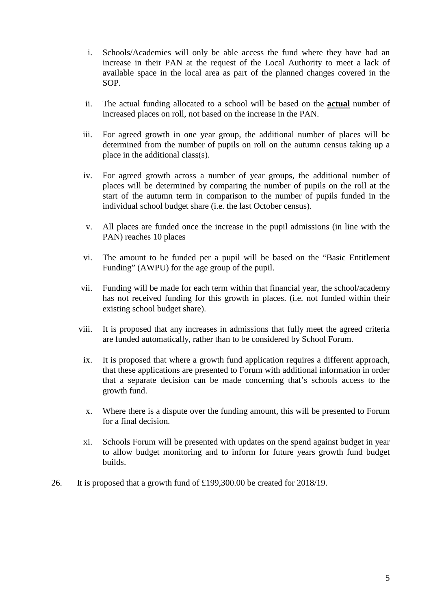- i. Schools/Academies will only be able access the fund where they have had an increase in their PAN at the request of the Local Authority to meet a lack of available space in the local area as part of the planned changes covered in the SOP.
- ii. The actual funding allocated to a school will be based on the **actual** number of increased places on roll, not based on the increase in the PAN.
- iii. For agreed growth in one year group, the additional number of places will be determined from the number of pupils on roll on the autumn census taking up a place in the additional class(s).
- iv. For agreed growth across a number of year groups, the additional number of places will be determined by comparing the number of pupils on the roll at the start of the autumn term in comparison to the number of pupils funded in the individual school budget share (i.e. the last October census).
- v. All places are funded once the increase in the pupil admissions (in line with the PAN) reaches 10 places
- vi. The amount to be funded per a pupil will be based on the "Basic Entitlement Funding" (AWPU) for the age group of the pupil.
- vii. Funding will be made for each term within that financial year, the school/academy has not received funding for this growth in places. (i.e. not funded within their existing school budget share).
- viii. It is proposed that any increases in admissions that fully meet the agreed criteria are funded automatically, rather than to be considered by School Forum.
- ix. It is proposed that where a growth fund application requires a different approach, that these applications are presented to Forum with additional information in order that a separate decision can be made concerning that's schools access to the growth fund.
- x. Where there is a dispute over the funding amount, this will be presented to Forum for a final decision.
- xi. Schools Forum will be presented with updates on the spend against budget in year to allow budget monitoring and to inform for future years growth fund budget builds.
- 26. It is proposed that a growth fund of £199,300.00 be created for 2018/19.